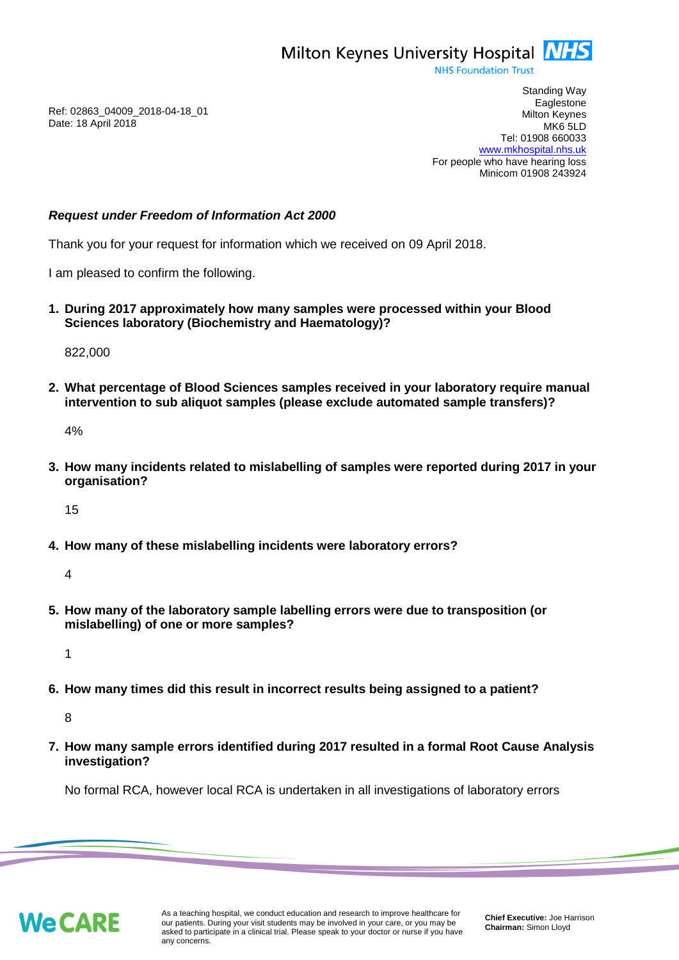

**NHS Foundation Trust** 

Ref: 02863\_04009\_2018-04-18\_01 Date: 18 April 2018

Standing Way **Eaglestone** Milton Keynes MK6 5LD Tel: 01908 660033 [www.mkhospital.nhs.uk](http://www.mkhospital.nhs.uk/) For people who have hearing loss Minicom 01908 243924

## *Request under Freedom of Information Act 2000*

Thank you for your request for information which we received on 09 April 2018.

I am pleased to confirm the following.

**1. During 2017 approximately how many samples were processed within your Blood Sciences laboratory (Biochemistry and Haematology)?** 

822,000

**2. What percentage of Blood Sciences samples received in your laboratory require manual intervention to sub aliquot samples (please exclude automated sample transfers)?** 

4%

**3. How many incidents related to mislabelling of samples were reported during 2017 in your organisation?** 

15

**4. How many of these mislabelling incidents were laboratory errors?** 

4

**5. How many of the laboratory sample labelling errors were due to transposition (or mislabelling) of one or more samples?** 

1

**6. How many times did this result in incorrect results being assigned to a patient?** 

8

**7. How many sample errors identified during 2017 resulted in a formal Root Cause Analysis investigation?** 

No formal RCA, however local RCA is undertaken in all investigations of laboratory errors